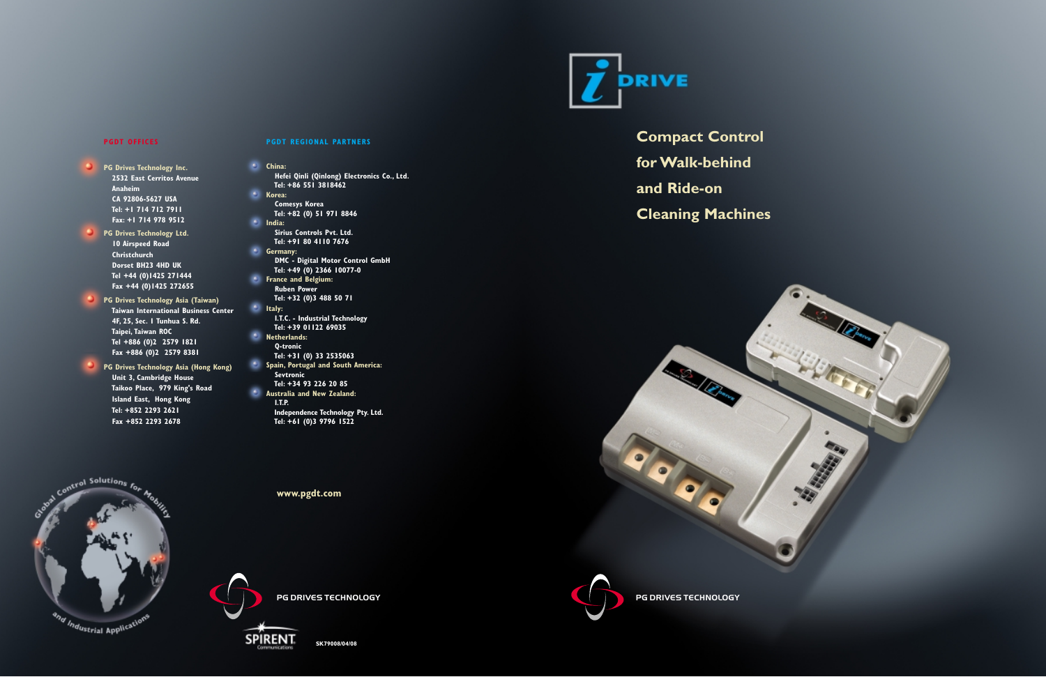# **DRIVE**

- **PG Drives Technology Inc. 2532 East Cerritos Avenue Anaheim CA 92806-5627 USA Tel: +1 714 712 7911 Fax: +1 714 978 9512**
- **PG Drives Technology Ltd. 10 Airspeed Road Christchurch Dorset BH23 4HD UK Tel +44 (0)1425 271444 Fax +44 (0)1425 272655**
- **PG Drives Technology Asia (Taiwan) Taiwan International Business Center 4F, 25, Sec. 1 Tunhua S. Rd. Taipei, Taiwan ROC Tel +886 (0)2 2579 1821 Fax +886 (0)2 2579 8381**
- **PG Drives Technology Asia (Hong Kong) Unit 3, Cambridge House Taikoo Place, 979 King's Road Island East, Hong Kong Tel: +852 2293 2621 Fax +852 2293 2678**



# **PGDT REGIONAL PARTNERS**



- **China:** × **Hefei Qinli (Qinlong) Electronics Co., Ltd. Tel: +86 551 3818462**
- **Korea: Comesys Korea Tel: +82 (0) 51 971 8846**
- **India: Sirius Controls Pvt. Ltd.**
- **Tel: +91 80 4110 7676**
- **Germany: DMC - Digital Motor Control GmbH**
- **Tel: +49 (0) 2366 10077-0 France and Belgium: Ruben Power**
- **Tel: +32 (0)3 488 50 71**
- ø **Italy: I.T.C. - Industrial Technology Tel: +39 01122 69035**
- **Netherlands: Q-tronic**
- **Tel: +31 (0) 33 2535063**
- **Spain, Portugal and South America: Sevtronic Tel: +34 93 226 20 85**
- **Australia and New Zealand: I.T.P. Independence Technology Pty. Ltd. Tel: +61 (0)3 9796 1522**

# **www.pgdt.com**